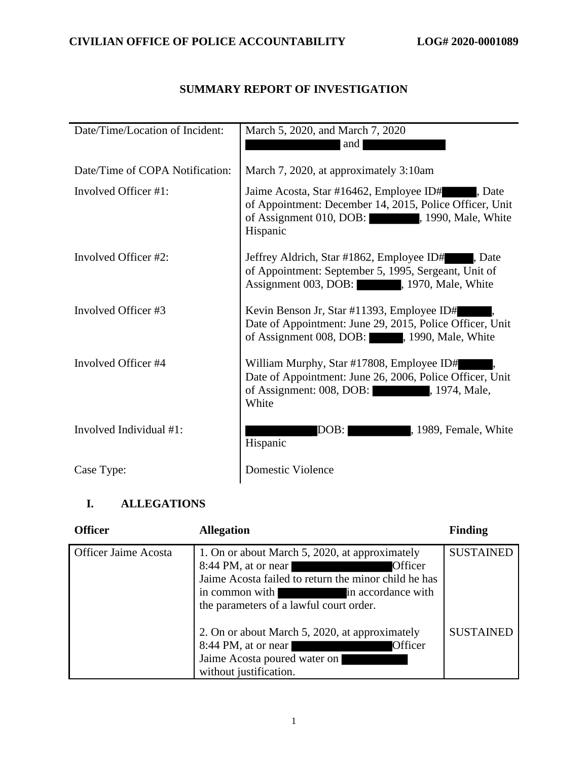# **SUMMARY REPORT OF INVESTIGATION**

| Date/Time/Location of Incident: | March 5, 2020, and March 7, 2020                                                                                                                                      |
|---------------------------------|-----------------------------------------------------------------------------------------------------------------------------------------------------------------------|
|                                 | and                                                                                                                                                                   |
| Date/Time of COPA Notification: | March 7, 2020, at approximately 3:10am                                                                                                                                |
| Involved Officer #1:            | Jaime Acosta, Star #16462, Employee ID#<br>. Date<br>of Appointment: December 14, 2015, Police Officer, Unit<br>of Assignment 010, DOB: 1990, Male, White<br>Hispanic |
| Involved Officer #2:            | Jeffrey Aldrich, Star #1862, Employee ID#<br>. Date<br>of Appointment: September 5, 1995, Sergeant, Unit of<br>Assignment 003, DOB: 1970, Male, White                 |
| Involved Officer #3             | Kevin Benson Jr, Star #11393, Employee ID#<br>Date of Appointment: June 29, 2015, Police Officer, Unit<br>of Assignment 008, DOB: , 1990, Male, White                 |
| Involved Officer #4             | William Murphy, Star #17808, Employee ID#<br>Date of Appointment: June 26, 2006, Police Officer, Unit<br>of Assignment: 008, DOB: 1974, Male,<br>White                |
| Involved Individual #1:         | , 1989, Female, White<br>DOB:<br>Hispanic                                                                                                                             |
| Case Type:                      | <b>Domestic Violence</b>                                                                                                                                              |

# **I. ALLEGATIONS**

| <b>Officer</b>              | <b>Allegation</b>                                                                                                                                                                                                           | <b>Finding</b>   |
|-----------------------------|-----------------------------------------------------------------------------------------------------------------------------------------------------------------------------------------------------------------------------|------------------|
| <b>Officer Jaime Acosta</b> | 1. On or about March 5, 2020, at approximately<br>8:44 PM, at or near<br>Officer<br>Jaime Acosta failed to return the minor child he has<br>in common with<br>in accordance with<br>the parameters of a lawful court order. | <b>SUSTAINED</b> |
|                             | 2. On or about March 5, 2020, at approximately<br>8:44 PM, at or near<br>Officer<br>Jaime Acosta poured water on<br>without justification.                                                                                  | <b>SUSTAINED</b> |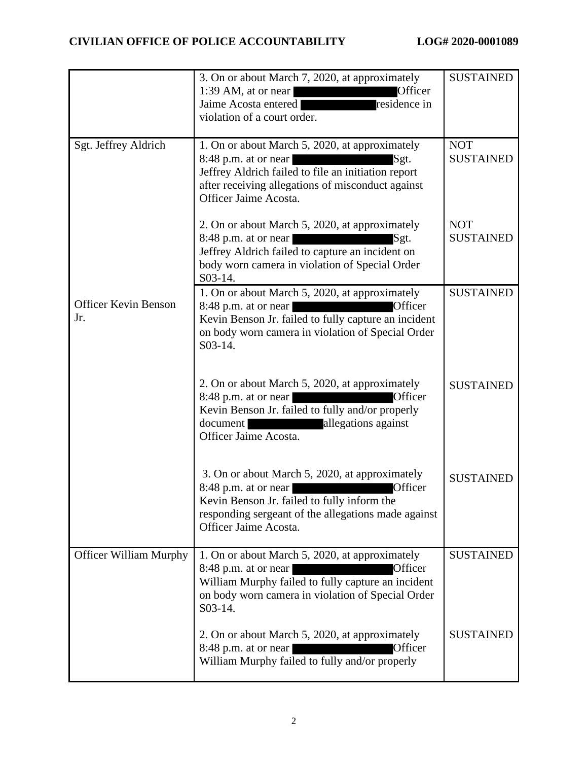|                                    | 3. On or about March 7, 2020, at approximately<br>Officer<br>1:39 AM, at or near<br>residence in<br>Jaime Acosta entered<br>violation of a court order.                                                                                                                                                                                     | <b>SUSTAINED</b>               |
|------------------------------------|---------------------------------------------------------------------------------------------------------------------------------------------------------------------------------------------------------------------------------------------------------------------------------------------------------------------------------------------|--------------------------------|
| Sgt. Jeffrey Aldrich               | 1. On or about March 5, 2020, at approximately<br>8:48 p.m. at or near<br>Sgt.<br><u> 1999 - Jan Jan Jawa Barat da Barat da Barat da Barat da Barat da Barat da Barat da Barat da Barat da Barat d</u><br>Jeffrey Aldrich failed to file an initiation report<br>after receiving allegations of misconduct against<br>Officer Jaime Acosta. | <b>NOT</b><br><b>SUSTAINED</b> |
|                                    | 2. On or about March 5, 2020, at approximately<br>$8:48$ p.m. at or near<br>Sgt.<br>Jeffrey Aldrich failed to capture an incident on<br>body worn camera in violation of Special Order<br>S03-14.                                                                                                                                           | <b>NOT</b><br><b>SUSTAINED</b> |
| <b>Officer Kevin Benson</b><br>Jr. | 1. On or about March 5, 2020, at approximately<br>Officer<br>$8:48$ p.m. at or near<br>Kevin Benson Jr. failed to fully capture an incident<br>on body worn camera in violation of Special Order<br>$S$ 03-14.                                                                                                                              | <b>SUSTAINED</b>               |
|                                    | 2. On or about March 5, 2020, at approximately<br>$8:48$ p.m. at or near<br>Officer<br>Kevin Benson Jr. failed to fully and/or properly<br>document allegations against<br>Officer Jaime Acosta.                                                                                                                                            | <b>SUSTAINED</b>               |
|                                    | 3. On or about March 5, 2020, at approximately<br>$8:48$ p.m. at or near<br>Officer<br>Kevin Benson Jr. failed to fully inform the<br>responding sergeant of the allegations made against<br>Officer Jaime Acosta.                                                                                                                          | <b>SUSTAINED</b>               |
| <b>Officer William Murphy</b>      | 1. On or about March 5, 2020, at approximately<br>$8:48$ p.m. at or near<br>Officer<br>William Murphy failed to fully capture an incident<br>on body worn camera in violation of Special Order<br>S03-14.                                                                                                                                   | <b>SUSTAINED</b>               |
|                                    | 2. On or about March 5, 2020, at approximately<br>$8:48$ p.m. at or near<br>Officer<br>William Murphy failed to fully and/or properly                                                                                                                                                                                                       | <b>SUSTAINED</b>               |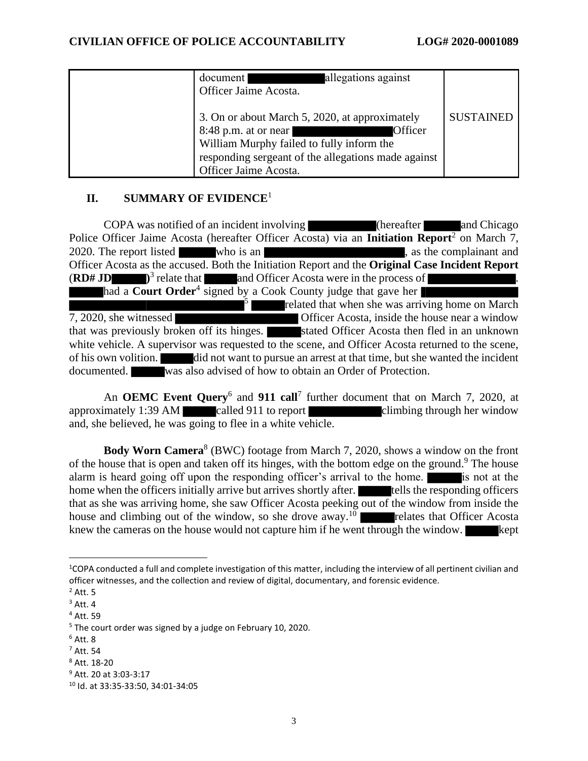| allegations against<br>document<br>Officer Jaime Acosta.                                                                                                                                                         |                  |
|------------------------------------------------------------------------------------------------------------------------------------------------------------------------------------------------------------------|------------------|
| 3. On or about March 5, 2020, at approximately<br>$8:48$ p.m. at or near<br>Officer<br>William Murphy failed to fully inform the<br>responding sergeant of the allegations made against<br>Officer Jaime Acosta. | <b>SUSTAINED</b> |

# **II. SUMMARY OF EVIDENCE**<sup>1</sup>

COPA was notified of an incident involving (hereafter and Chicago Police Officer Jaime Acosta (hereafter Officer Acosta) via an **Initiation Report**<sup>2</sup> on March 7, 2020. The report listed who is an , as the complainant and Officer Acosta as the accused. Both the Initiation Report and the **Original Case Incident Report**  $(RD#JD$ <sup>3</sup> relate that and Officer Acosta were in the process of . had a **Court Order**<sup>4</sup> signed by a Cook County judge that gave her  $5<sub>5</sub>$ related that when she was arriving home on March 7, 2020, she witnessed Officer Acosta, inside the house near a window that was previously broken off its hinges. Stated Officer Acosta then fled in an unknown white vehicle. A supervisor was requested to the scene, and Officer Acosta returned to the scene, of his own volition. did not want to pursue an arrest at that time, but she wanted the incident documented. was also advised of how to obtain an Order of Protection.

An **OEMC Event Query**<sup>6</sup> and **911 call**<sup>7</sup> further document that on March 7, 2020, at approximately 1:39 AM called 911 to report climbing through her window and, she believed, he was going to flee in a white vehicle.

**Body Worn Camera**<sup>8</sup> (BWC) footage from March 7, 2020, shows a window on the front of the house that is open and taken off its hinges, with the bottom edge on the ground.<sup>9</sup> The house alarm is heard going off upon the responding officer's arrival to the home. is not at the home when the officers initially arrive but arrives shortly after. tells the responding officers that as she was arriving home, she saw Officer Acosta peeking out of the window from inside the house and climbing out of the window, so she drove away.<sup>10</sup> relates that Officer Acosta knew the cameras on the house would not capture him if he went through the window.  $\blacksquare$  kept

<sup>1</sup>COPA conducted a full and complete investigation of this matter, including the interview of all pertinent civilian and officer witnesses, and the collection and review of digital, documentary, and forensic evidence.

 $<sup>2</sup>$  Att. 5</sup>

 $3$  Att. 4

<sup>4</sup> Att. 59

<sup>&</sup>lt;sup>5</sup> The court order was signed by a judge on February 10, 2020.

<sup>6</sup> Att. 8

<sup>7</sup> Att. 54

<sup>8</sup> Att. 18-20

<sup>9</sup> Att. 20 at 3:03-3:17

<sup>10</sup> Id. at 33:35-33:50, 34:01-34:05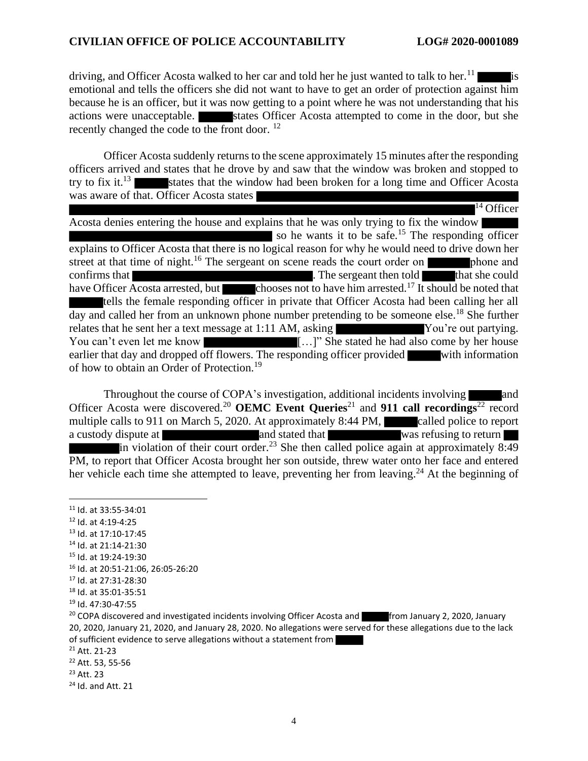driving, and Officer Acosta walked to her car and told her he just wanted to talk to her.<sup>11</sup> emotional and tells the officers she did not want to have to get an order of protection against him because he is an officer, but it was now getting to a point where he was not understanding that his actions were unacceptable. States Officer Acosta attempted to come in the door, but she recently changed the code to the front door.<sup>12</sup>

Officer Acosta suddenly returnsto the scene approximately 15 minutes after the responding officers arrived and states that he drove by and saw that the window was broken and stopped to try to fix it.<sup>13</sup> states that the window had been broken for a long time and Officer Acosta was aware of that. Officer Acosta states  $14$  Officer

Acosta denies entering the house and explains that he was only trying to fix the window so he wants it to be safe.<sup>15</sup> The responding officer explains to Officer Acosta that there is no logical reason for why he would need to drive down her street at that time of night.<sup>16</sup> The sergeant on scene reads the court order on phone and confirms that **the series of the series of the series of the series of the series of that she could** that she could have Officer Acosta arrested, but chooses not to have him arrested.<sup>17</sup> It should be noted that tells the female responding officer in private that Officer Acosta had been calling her all day and called her from an unknown phone number pretending to be someone else.<sup>18</sup> She further relates that he sent her a text message at 1:11 AM, asking You're out partying. You can't even let me know [...]" She stated he had also come by her house earlier that day and dropped off flowers. The responding officer provided with information of how to obtain an Order of Protection.<sup>19</sup>

Throughout the course of COPA's investigation, additional incidents involving and Officer Acosta were discovered.<sup>20</sup> **OEMC Event Queries**<sup>21</sup> and **911 call recordings**<sup>22</sup> record multiple calls to 911 on March 5, 2020. At approximately 8:44 PM, called police to report a custody dispute at and stated that was refusing to return in violation of their court order.<sup>23</sup> She then called police again at approximately  $8:49$ PM, to report that Officer Acosta brought her son outside, threw water onto her face and entered her vehicle each time she attempted to leave, preventing her from leaving.<sup>24</sup> At the beginning of

<sup>11</sup> Id. at 33:55-34:01

- <sup>12</sup> Id. at 4:19-4:25
- <sup>13</sup> Id. at 17:10-17:45
- <sup>14</sup> Id. at 21:14-21:30
- <sup>15</sup> Id. at 19:24-19:30
- <sup>16</sup> Id. at 20:51-21:06, 26:05-26:20
- <sup>17</sup> Id. at 27:31-28:30

- <sup>22</sup> Att. 53, 55-56
- <sup>23</sup> Att. 23

<sup>18</sup> Id. at 35:01-35:51

<sup>19</sup> Id. 47:30-47:55

<sup>&</sup>lt;sup>20</sup> COPA discovered and investigated incidents involving Officer Acosta and **From January 2, 2020, January** 20, 2020, January 21, 2020, and January 28, 2020. No allegations were served for these allegations due to the lack of sufficient evidence to serve allegations without a statement from

<sup>21</sup> Att. 21-23

 $24$  Id. and Att. 21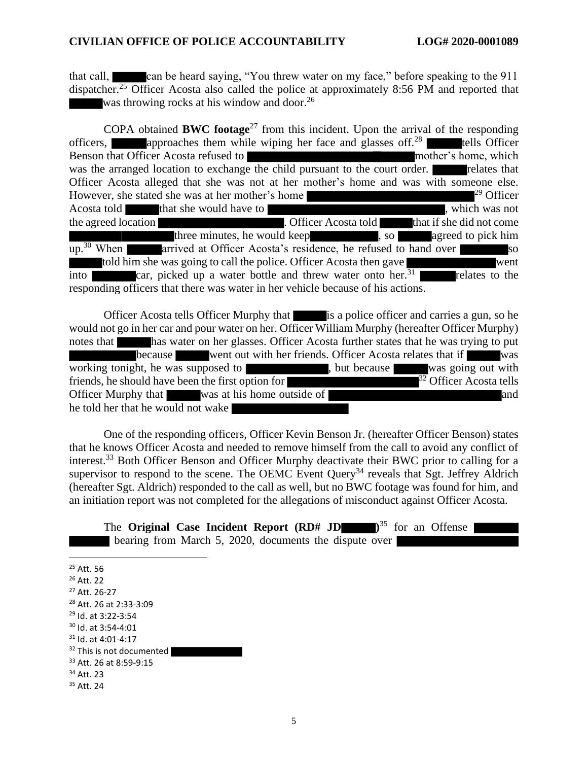that call, can be heard saying, "You threw water on my face," before speaking to the 911 dispatcher.<sup>25</sup> Officer Acosta also called the police at approximately 8:56 PM and reported that was throwing rocks at his window and door.<sup>26</sup>

COPA obtained **BWC footage**<sup>27</sup> from this incident. Upon the arrival of the responding officers, approaches them while wiping her face and glasses off.<sup>28</sup> tells Officer Benson that Officer Acosta refused to mother's home, which mother's home, which was the arranged location to exchange the child pursuant to the court order. The relates that Officer Acosta alleged that she was not at her mother's home and was with someone else.<br>However, she stated she was at her mother's home However, she stated she was at her mother's home Acosta told that she would have to , which was not the agreed location **that if she did not come** . Officer Acosta told that if she did not come three minutes, he would keep , so agreed to pick him up.<sup>30</sup> When **arrived** at Officer Acosta's residence, he refused to hand over so told him she was going to call the police. Officer Acosta then gave into car, picked up a water bottle and threw water onto her.<sup>31</sup> relates to the responding officers that there was water in her vehicle because of his actions.

Officer Acosta tells Officer Murphy that is a police officer and carries a gun, so he would not go in her car and pour water on her. Officer William Murphy (hereafter Officer Murphy) notes that has water on her glasses. Officer Acosta further states that he was trying to put because went out with her friends. Officer Acosta relates that if was working tonight, he was supposed to  $\blacksquare$ , but because was going out with friends, he should have been the first option for  $\frac{32}{32}$  Officer Acosta tells Officer Murphy that was at his home outside of and and he told her that he would not wake

One of the responding officers, Officer Kevin Benson Jr. (hereafter Officer Benson) states that he knows Officer Acosta and needed to remove himself from the call to avoid any conflict of interest.<sup>33</sup> Both Officer Benson and Officer Murphy deactivate their BWC prior to calling for a supervisor to respond to the scene. The OEMC Event Query<sup>34</sup> reveals that Sgt. Jeffrey Aldrich (hereafter Sgt. Aldrich) responded to the call as well, but no BWC footage was found for him, and an initiation report was not completed for the allegations of misconduct against Officer Acosta.

The **Original Case Incident Report (RD# JD )**  $\mathbb{R}^{35}$  for an Offense bearing from March 5, 2020, documents the dispute over

- <sup>25</sup> Att. 56
- <sup>26</sup> Att. 22
- <sup>27</sup> Att. 26-27
- <sup>28</sup> Att. 26 at 2:33-3:09
- <sup>29</sup> Id. at 3:22-3:54
- <sup>30</sup> Id. at 3:54-4:01
- <sup>31</sup> Id. at 4:01-4:17
- <sup>32</sup> This is not documented
- <sup>33</sup> Att. 26 at 8:59-9:15
- <sup>34</sup> Att. 23
- <sup>35</sup> Att. 24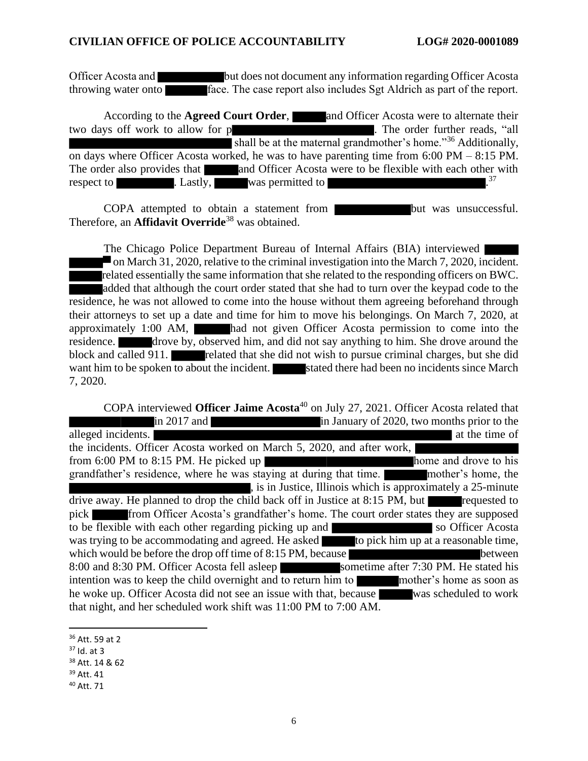Officer Acosta and but does not document any information regarding Officer Acosta throwing water onto face. The case report also includes Sgt Aldrich as part of the report.

According to the **Agreed Court Order**, and Officer Acosta were to alternate their two days off work to allow for p . The order further reads, "all shall be at the maternal grandmother's home."<sup>36</sup> Additionally, on days where Officer Acosta worked, he was to have parenting time from 6:00 PM – 8:15 PM. The order also provides that and Officer Acosta were to be flexible with each other with respect to  $\qquad \qquad$  . Lastly, was permitted to  $\qquad \qquad .37$ 

COPA attempted to obtain a statement from but was unsuccessful. Therefore, an **Affidavit Override**<sup>38</sup> was obtained.

The Chicago Police Department Bureau of Internal Affairs (BIA) interviewed  $\blacksquare$  on March 31, 2020, relative to the criminal investigation into the March 7, 2020, incident. related essentially the same information that she related to the responding officers on BWC. added that although the court order stated that she had to turn over the keypad code to the residence, he was not allowed to come into the house without them agreeing beforehand through their attorneys to set up a date and time for him to move his belongings. On March 7, 2020, at approximately 1:00 AM, had not given Officer Acosta permission to come into the residence. drove by, observed him, and did not say anything to him. She drove around the block and called 911. **related that she did not wish to pursue criminal charges, but she did** want him to be spoken to about the incident. Stated there had been no incidents since March 7, 2020.

COPA interviewed **Officer Jaime Acosta**<sup>40</sup> on July 27, 2021. Officer Acosta related that in 2017 and **in Tanuary of 2020**, two months prior to the alleged incidents. the incidents. Officer Acosta worked on March 5, 2020, and after work, from 6:00 PM to 8:15 PM. He picked up grandfather's residence, where he was staying at during that time. mother's home, the , is in Justice, Illinois which is approximately a 25-minute drive away. He planned to drop the child back off in Justice at 8:15 PM, but requested to pick **from Officer Acosta's grandfather's home. The court order states they are supposed** to be flexible with each other regarding picking up and so Officer Acosta was trying to be accommodating and agreed. He asked to pick him up at a reasonable time. was trying to be accommodating and agreed. He asked which would be before the drop off time of 8:15 PM, because 8:00 and 8:30 PM. Officer Acosta fell asleep sometime after 7:30 PM. He stated his intention was to keep the child overnight and to return him to mother's home as soon as he woke up. Officer Acosta did not see an issue with that, because was scheduled to work that night, and her scheduled work shift was 11:00 PM to 7:00 AM.

<sup>36</sup> Att. 59 at 2

 $37$  Id. at 3

<sup>38</sup> Att. 14 & 62

<sup>39</sup> Att. 41

<sup>40</sup> Att. 71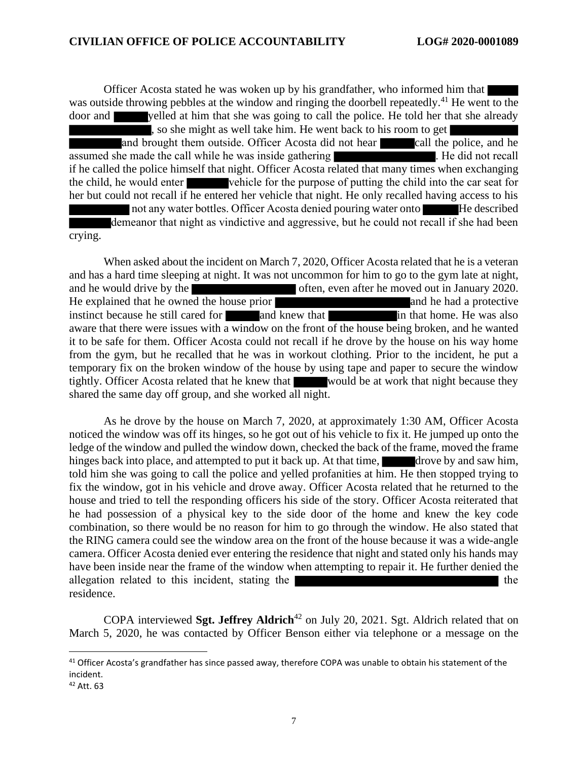Officer Acosta stated he was woken up by his grandfather, who informed him that was outside throwing pebbles at the window and ringing the doorbell repeatedly.<sup>41</sup> He went to the door and yelled at him that she was going to call the police. He told her that she already , so she might as well take him. He went back to his room to get and brought them outside. Officer Acosta did not hear call the police, and he assumed she made the call while he was inside gathering . He did not recall if he called the police himself that night. Officer Acosta related that many times when exchanging the child, he would enter vehicle for the purpose of putting the child into the car seat for her but could not recall if he entered her vehicle that night. He only recalled having access to his not any water bottles. Officer Acosta denied pouring water onto He described demeanor that night as vindictive and aggressive, but he could not recall if she had been crying.

When asked about the incident on March 7, 2020, Officer Acosta related that he is a veteran and has a hard time sleeping at night. It was not uncommon for him to go to the gym late at night, and he would drive by the often, even after he moved out in January 2020.<br>He explained that he owned the house prior He explained that he owned the house prior **and he had a protective** instinct because he still cared for and knew that in that home. He was also aware that there were issues with a window on the front of the house being broken, and he wanted it to be safe for them. Officer Acosta could not recall if he drove by the house on his way home from the gym, but he recalled that he was in workout clothing. Prior to the incident, he put a temporary fix on the broken window of the house by using tape and paper to secure the window tightly. Officer Acosta related that he knew that would be at work that night because they shared the same day off group, and she worked all night.

As he drove by the house on March 7, 2020, at approximately 1:30 AM, Officer Acosta noticed the window was off its hinges, so he got out of his vehicle to fix it. He jumped up onto the ledge of the window and pulled the window down, checked the back of the frame, moved the frame hinges back into place, and attempted to put it back up. At that time, drove by and saw him, told him she was going to call the police and yelled profanities at him. He then stopped trying to fix the window, got in his vehicle and drove away. Officer Acosta related that he returned to the house and tried to tell the responding officers his side of the story. Officer Acosta reiterated that he had possession of a physical key to the side door of the home and knew the key code combination, so there would be no reason for him to go through the window. He also stated that the RING camera could see the window area on the front of the house because it was a wide-angle camera. Officer Acosta denied ever entering the residence that night and stated only his hands may have been inside near the frame of the window when attempting to repair it. He further denied the allegation related to this incident, stating the the residence.

COPA interviewed **Sgt. Jeffrey Aldrich**<sup>42</sup> on July 20, 2021. Sgt. Aldrich related that on March 5, 2020, he was contacted by Officer Benson either via telephone or a message on the

<sup>&</sup>lt;sup>41</sup> Officer Acosta's grandfather has since passed away, therefore COPA was unable to obtain his statement of the incident.

<sup>42</sup> Att. 63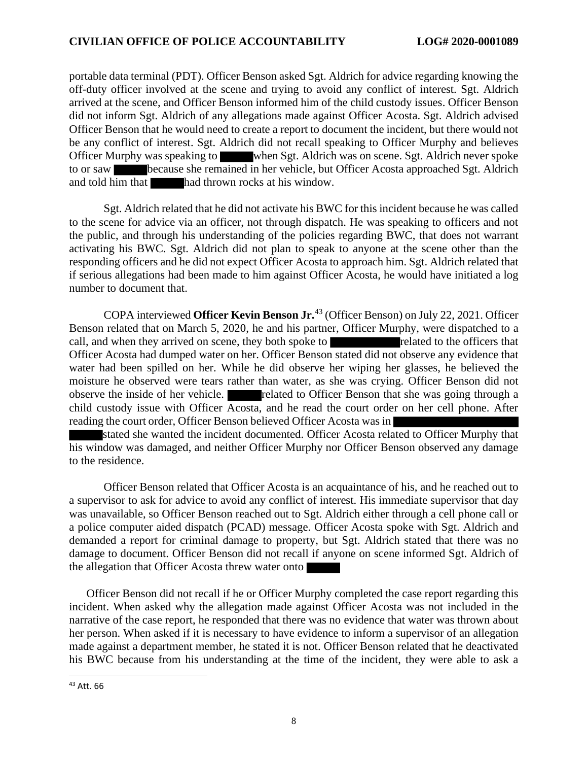portable data terminal (PDT). Officer Benson asked Sgt. Aldrich for advice regarding knowing the off-duty officer involved at the scene and trying to avoid any conflict of interest. Sgt. Aldrich arrived at the scene, and Officer Benson informed him of the child custody issues. Officer Benson did not inform Sgt. Aldrich of any allegations made against Officer Acosta. Sgt. Aldrich advised Officer Benson that he would need to create a report to document the incident, but there would not be any conflict of interest. Sgt. Aldrich did not recall speaking to Officer Murphy and believes Officer Murphy was speaking to when Sgt. Aldrich was on scene. Sgt. Aldrich never spoke to or saw because she remained in her vehicle, but Officer Acosta approached Sgt. Aldrich and told him that had thrown rocks at his window.

Sgt. Aldrich related that he did not activate his BWC for this incident because he was called to the scene for advice via an officer, not through dispatch. He was speaking to officers and not the public, and through his understanding of the policies regarding BWC, that does not warrant activating his BWC. Sgt. Aldrich did not plan to speak to anyone at the scene other than the responding officers and he did not expect Officer Acosta to approach him. Sgt. Aldrich related that if serious allegations had been made to him against Officer Acosta, he would have initiated a log number to document that.

COPA interviewed **Officer Kevin Benson Jr.**<sup>43</sup> (Officer Benson) on July 22, 2021. Officer Benson related that on March 5, 2020, he and his partner, Officer Murphy, were dispatched to a call, and when they arrived on scene, they both spoke to related to the officers that Officer Acosta had dumped water on her. Officer Benson stated did not observe any evidence that water had been spilled on her. While he did observe her wiping her glasses, he believed the moisture he observed were tears rather than water, as she was crying. Officer Benson did not observe the inside of her vehicle. related to Officer Benson that she was going through a child custody issue with Officer Acosta, and he read the court order on her cell phone. After reading the court order, Officer Benson believed Officer Acosta was in

stated she wanted the incident documented. Officer Acosta related to Officer Murphy that his window was damaged, and neither Officer Murphy nor Officer Benson observed any damage to the residence.

Officer Benson related that Officer Acosta is an acquaintance of his, and he reached out to a supervisor to ask for advice to avoid any conflict of interest. His immediate supervisor that day was unavailable, so Officer Benson reached out to Sgt. Aldrich either through a cell phone call or a police computer aided dispatch (PCAD) message. Officer Acosta spoke with Sgt. Aldrich and demanded a report for criminal damage to property, but Sgt. Aldrich stated that there was no damage to document. Officer Benson did not recall if anyone on scene informed Sgt. Aldrich of the allegation that Officer Acosta threw water onto

Officer Benson did not recall if he or Officer Murphy completed the case report regarding this incident. When asked why the allegation made against Officer Acosta was not included in the narrative of the case report, he responded that there was no evidence that water was thrown about her person. When asked if it is necessary to have evidence to inform a supervisor of an allegation made against a department member, he stated it is not. Officer Benson related that he deactivated his BWC because from his understanding at the time of the incident, they were able to ask a

<sup>43</sup> Att. 66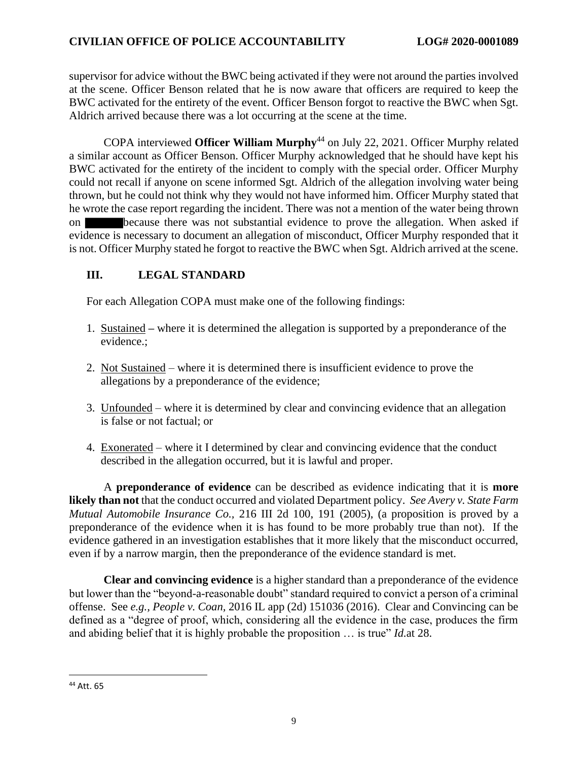supervisor for advice without the BWC being activated if they were not around the parties involved at the scene. Officer Benson related that he is now aware that officers are required to keep the BWC activated for the entirety of the event. Officer Benson forgot to reactive the BWC when Sgt. Aldrich arrived because there was a lot occurring at the scene at the time.

COPA interviewed **Officer William Murphy**<sup>44</sup> on July 22, 2021. Officer Murphy related a similar account as Officer Benson. Officer Murphy acknowledged that he should have kept his BWC activated for the entirety of the incident to comply with the special order. Officer Murphy could not recall if anyone on scene informed Sgt. Aldrich of the allegation involving water being thrown, but he could not think why they would not have informed him. Officer Murphy stated that he wrote the case report regarding the incident. There was not a mention of the water being thrown on because there was not substantial evidence to prove the allegation. When asked if evidence is necessary to document an allegation of misconduct, Officer Murphy responded that it is not. Officer Murphy stated he forgot to reactive the BWC when Sgt. Aldrich arrived at the scene.

# **III. LEGAL STANDARD**

For each Allegation COPA must make one of the following findings:

- 1. Sustained **–** where it is determined the allegation is supported by a preponderance of the evidence.;
- 2. Not Sustained where it is determined there is insufficient evidence to prove the allegations by a preponderance of the evidence;
- 3. Unfounded where it is determined by clear and convincing evidence that an allegation is false or not factual; or
- 4. Exonerated where it I determined by clear and convincing evidence that the conduct described in the allegation occurred, but it is lawful and proper.

A **preponderance of evidence** can be described as evidence indicating that it is **more likely than not** that the conduct occurred and violated Department policy. *See Avery v. State Farm Mutual Automobile Insurance Co.,* 216 III 2d 100, 191 (2005), (a proposition is proved by a preponderance of the evidence when it is has found to be more probably true than not). If the evidence gathered in an investigation establishes that it more likely that the misconduct occurred, even if by a narrow margin, then the preponderance of the evidence standard is met.

**Clear and convincing evidence** is a higher standard than a preponderance of the evidence but lower than the "beyond-a-reasonable doubt" standard required to convict a person of a criminal offense. See *e.g., People v. Coan,* 2016 IL app (2d) 151036 (2016). Clear and Convincing can be defined as a "degree of proof, which, considering all the evidence in the case, produces the firm and abiding belief that it is highly probable the proposition … is true" *Id.*at 28.

<sup>44</sup> Att. 65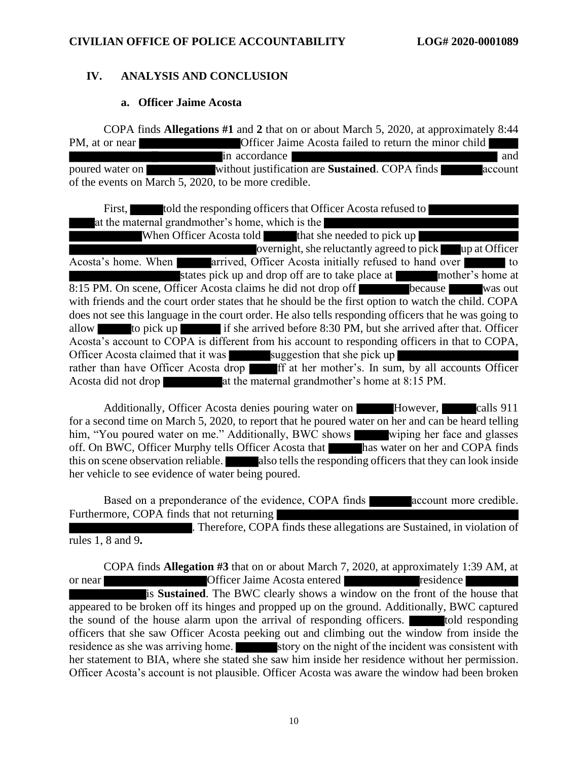# **IV. ANALYSIS AND CONCLUSION**

#### **a. Officer Jaime Acosta**

COPA finds **Allegations #1** and **2** that on or about March 5, 2020, at approximately 8:44 PM, at or near Officer Jaime Acosta failed to return the minor child in accordance and and poured water on without justification are **Sustained**. COPA finds account of the events on March 5, 2020, to be more credible.

First, told the responding officers that Officer Acosta refused to at the maternal grandmother's home, which is the When Officer Acosta told that she needed to pick up overnight, she reluctantly agreed to pick up at Officer Acosta's home. When arrived, Officer Acosta initially refused to hand over to states pick up and drop off are to take place at mother's home at 8:15 PM. On scene, Officer Acosta claims he did not drop off because was out with friends and the court order states that he should be the first option to watch the child. COPA does not see this language in the court order. He also tells responding officers that he was going to allow to pick up if she arrived before 8:30 PM, but she arrived after that. Officer Acosta's account to COPA is different from his account to responding officers in that to COPA, Officer Acosta claimed that it was suggestion that she pick up rather than have Officer Acosta drop for ff at her mother's. In sum, by all accounts Officer Acosta did not drop at the maternal grandmother's home at 8:15 PM.

Additionally, Officer Acosta denies pouring water on However, calls 911 for a second time on March 5, 2020, to report that he poured water on her and can be heard telling him, "You poured water on me." Additionally, BWC shows wiping her face and glasses off. On BWC, Officer Murphy tells Officer Acosta that has water on her and COPA finds this on scene observation reliable. **Also tells the responding officers that they can look inside** her vehicle to see evidence of water being poured.

Based on a preponderance of the evidence, COPA finds account more credible. Furthermore, COPA finds that not returning

. Therefore, COPA finds these allegations are Sustained, in violation of rules 1, 8 and 9**.** 

COPA finds **Allegation #3** that on or about March 7, 2020, at approximately 1:39 AM, at or near **Officer Jaime Acosta entered** residence is **Sustained**. The BWC clearly shows a window on the front of the house that appeared to be broken off its hinges and propped up on the ground. Additionally, BWC captured the sound of the house alarm upon the arrival of responding officers. **The solution of the set of the set of the set of the set of the set of the set of the set of the set of the set of the set of the set of the set of the** officers that she saw Officer Acosta peeking out and climbing out the window from inside the residence as she was arriving home. story on the night of the incident was consistent with her statement to BIA, where she stated she saw him inside her residence without her permission. Officer Acosta's account is not plausible. Officer Acosta was aware the window had been broken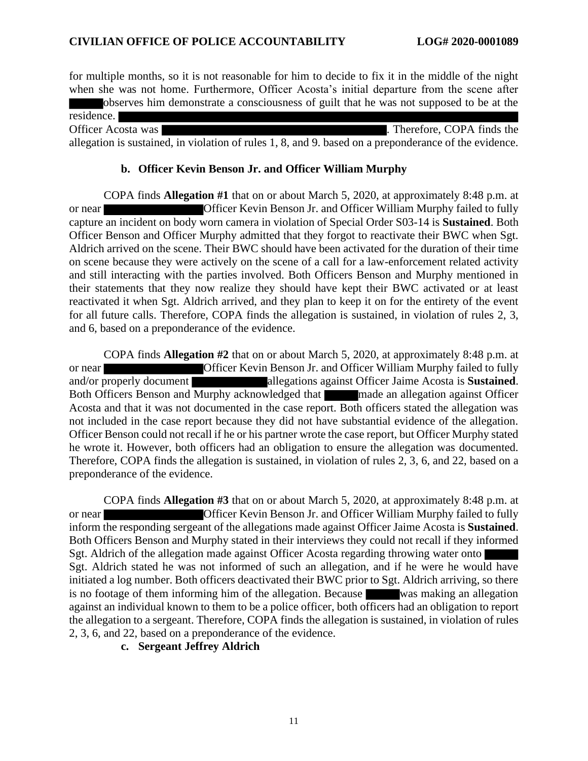for multiple months, so it is not reasonable for him to decide to fix it in the middle of the night when she was not home. Furthermore, Officer Acosta's initial departure from the scene after observes him demonstrate a consciousness of guilt that he was not supposed to be at the

residence. Officer Acosta was **.** Therefore, COPA finds the allegation is sustained, in violation of rules 1, 8, and 9. based on a preponderance of the evidence.

#### **b. Officer Kevin Benson Jr. and Officer William Murphy**

COPA finds **Allegation #1** that on or about March 5, 2020, at approximately 8:48 p.m. at or near Officer Kevin Benson Jr. and Officer William Murphy failed to fully capture an incident on body worn camera in violation of Special Order S03-14 is **Sustained**. Both Officer Benson and Officer Murphy admitted that they forgot to reactivate their BWC when Sgt. Aldrich arrived on the scene. Their BWC should have been activated for the duration of their time on scene because they were actively on the scene of a call for a law-enforcement related activity and still interacting with the parties involved. Both Officers Benson and Murphy mentioned in their statements that they now realize they should have kept their BWC activated or at least reactivated it when Sgt. Aldrich arrived, and they plan to keep it on for the entirety of the event for all future calls. Therefore, COPA finds the allegation is sustained, in violation of rules 2, 3, and 6, based on a preponderance of the evidence.

COPA finds **Allegation #2** that on or about March 5, 2020, at approximately 8:48 p.m. at or near Officer Kevin Benson Jr. and Officer William Murphy failed to fully and/or properly document allegations against Officer Jaime Acosta is **Sustained**. Both Officers Benson and Murphy acknowledged that made an allegation against Officer Acosta and that it was not documented in the case report. Both officers stated the allegation was not included in the case report because they did not have substantial evidence of the allegation. Officer Benson could not recall if he or his partner wrote the case report, but Officer Murphy stated he wrote it. However, both officers had an obligation to ensure the allegation was documented. Therefore, COPA finds the allegation is sustained, in violation of rules 2, 3, 6, and 22, based on a preponderance of the evidence.

COPA finds **Allegation #3** that on or about March 5, 2020, at approximately 8:48 p.m. at or near Officer Kevin Benson Jr. and Officer William Murphy failed to fully inform the responding sergeant of the allegations made against Officer Jaime Acosta is **Sustained**. Both Officers Benson and Murphy stated in their interviews they could not recall if they informed Sgt. Aldrich of the allegation made against Officer Acosta regarding throwing water onto Sgt. Aldrich stated he was not informed of such an allegation, and if he were he would have initiated a log number. Both officers deactivated their BWC prior to Sgt. Aldrich arriving, so there is no footage of them informing him of the allegation. Because was making an allegation against an individual known to them to be a police officer, both officers had an obligation to report the allegation to a sergeant. Therefore, COPA finds the allegation is sustained, in violation of rules 2, 3, 6, and 22, based on a preponderance of the evidence.

**c. Sergeant Jeffrey Aldrich**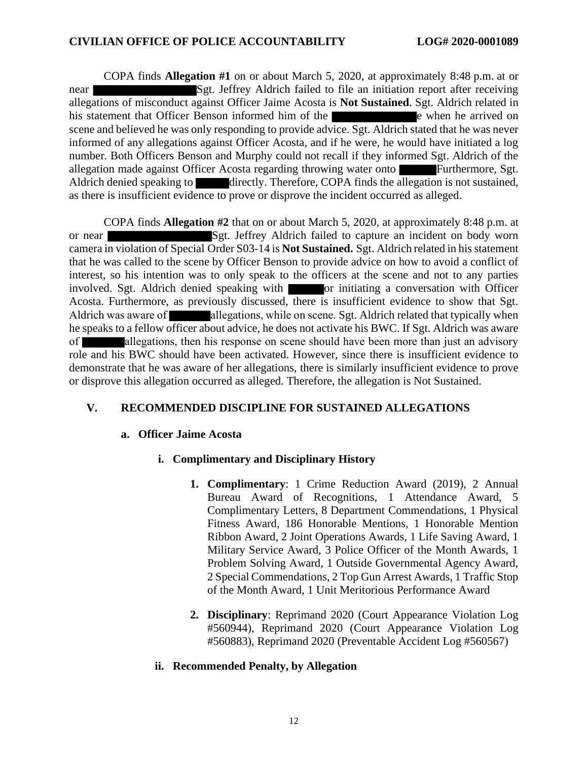COPA finds **Allegation #1** on or about March 5, 2020, at approximately 8:48 p.m. at or near Sgt. Jeffrey Aldrich failed to file an initiation report after receiving allegations of misconduct against Officer Jaime Acosta is **Not Sustained**. Sgt. Aldrich related in his statement that Officer Benson informed him of the extension in the extra when he arrived on scene and believed he was only responding to provide advice. Sgt. Aldrich stated that he was never informed of any allegations against Officer Acosta, and if he were, he would have initiated a log number. Both Officers Benson and Murphy could not recall if they informed Sgt. Aldrich of the allegation made against Officer Acosta regarding throwing water onto Furthermore, Sgt. Aldrich denied speaking to directly. Therefore, COPA finds the allegation is not sustained, as there is insufficient evidence to prove or disprove the incident occurred as alleged.

COPA finds **Allegation #2** that on or about March 5, 2020, at approximately 8:48 p.m. at or near Sgt. Jeffrey Aldrich failed to capture an incident on body worn camera in violation of Special Order S03-14 is **Not Sustained.** Sgt. Aldrich related in his statement that he was called to the scene by Officer Benson to provide advice on how to avoid a conflict of interest, so his intention was to only speak to the officers at the scene and not to any parties involved. Sgt. Aldrich denied speaking with **or** initiating a conversation with Officer Acosta. Furthermore, as previously discussed, there is insufficient evidence to show that Sgt. Aldrich was aware of allegations, while on scene. Sgt. Aldrich related that typically when he speaks to a fellow officer about advice, he does not activate his BWC. If Sgt. Aldrich was aware of allegations, then his response on scene should have been more than just an advisory role and his BWC should have been activated. However, since there is insufficient evidence to demonstrate that he was aware of her allegations, there is similarly insufficient evidence to prove or disprove this allegation occurred as alleged. Therefore, the allegation is Not Sustained.

# **V. RECOMMENDED DISCIPLINE FOR SUSTAINED ALLEGATIONS**

#### **a. Officer Jaime Acosta**

# **i. Complimentary and Disciplinary History**

- **1. Complimentary**: 1 Crime Reduction Award (2019), 2 Annual Bureau Award of Recognitions, 1 Attendance Award, 5 Complimentary Letters, 8 Department Commendations, 1 Physical Fitness Award, 186 Honorable Mentions, 1 Honorable Mention Ribbon Award, 2 Joint Operations Awards, 1 Life Saving Award, 1 Military Service Award, 3 Police Officer of the Month Awards, 1 Problem Solving Award, 1 Outside Governmental Agency Award, 2 Special Commendations, 2 Top Gun Arrest Awards, 1 Traffic Stop of the Month Award, 1 Unit Meritorious Performance Award
- **2. Disciplinary**: Reprimand 2020 (Court Appearance Violation Log #560944), Reprimand 2020 (Court Appearance Violation Log #560883), Reprimand 2020 (Preventable Accident Log #560567)

# **ii. Recommended Penalty, by Allegation**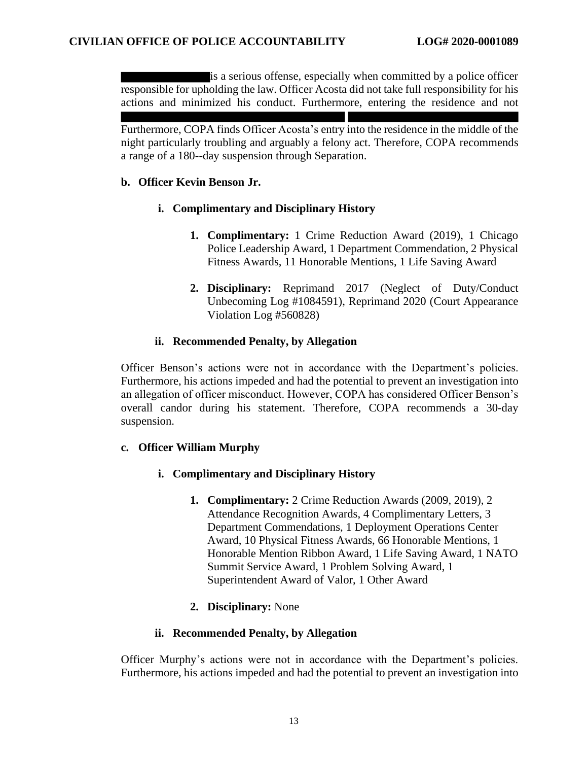is a serious offense, especially when committed by a police officer responsible for upholding the law. Officer Acosta did not take full responsibility for his actions and minimized his conduct. Furthermore, entering the residence and not

Furthermore, COPA finds Officer Acosta's entry into the residence in the middle of the night particularly troubling and arguably a felony act. Therefore, COPA recommends a range of a 180--day suspension through Separation.

#### **b. Officer Kevin Benson Jr.**

#### **i. Complimentary and Disciplinary History**

- **1. Complimentary:** 1 Crime Reduction Award (2019), 1 Chicago Police Leadership Award, 1 Department Commendation, 2 Physical Fitness Awards, 11 Honorable Mentions, 1 Life Saving Award
- **2. Disciplinary:** Reprimand 2017 (Neglect of Duty/Conduct Unbecoming Log #1084591), Reprimand 2020 (Court Appearance Violation Log #560828)

#### **ii. Recommended Penalty, by Allegation**

Officer Benson's actions were not in accordance with the Department's policies. Furthermore, his actions impeded and had the potential to prevent an investigation into an allegation of officer misconduct. However, COPA has considered Officer Benson's overall candor during his statement. Therefore, COPA recommends a 30-day suspension.

#### **c. Officer William Murphy**

# **i. Complimentary and Disciplinary History**

**1. Complimentary:** 2 Crime Reduction Awards (2009, 2019), 2 Attendance Recognition Awards, 4 Complimentary Letters, 3 Department Commendations, 1 Deployment Operations Center Award, 10 Physical Fitness Awards, 66 Honorable Mentions, 1 Honorable Mention Ribbon Award, 1 Life Saving Award, 1 NATO Summit Service Award, 1 Problem Solving Award, 1 Superintendent Award of Valor, 1 Other Award

# **2. Disciplinary:** None

#### **ii. Recommended Penalty, by Allegation**

Officer Murphy's actions were not in accordance with the Department's policies. Furthermore, his actions impeded and had the potential to prevent an investigation into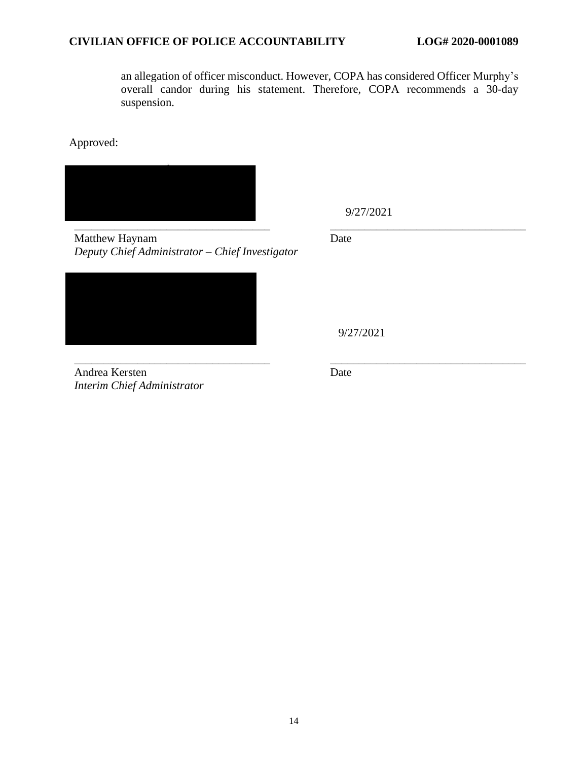an allegation of officer misconduct. However, COPA has considered Officer Murphy's overall candor during his statement. Therefore, COPA recommends a 30-day suspension.

Approved:



9/27/2021

Matthew Haynam *Deputy Chief Administrator – Chief Investigator*

Andrea Kersten *Interim Chief Administrator* Date

9/27/2021

Date

\_\_\_\_\_\_\_\_\_\_\_\_\_\_\_\_\_\_\_\_\_\_\_\_\_\_\_\_\_\_\_\_\_\_ \_\_\_\_\_\_\_\_\_\_\_\_\_\_\_\_\_\_\_\_\_\_\_\_\_\_\_\_\_\_\_\_\_\_